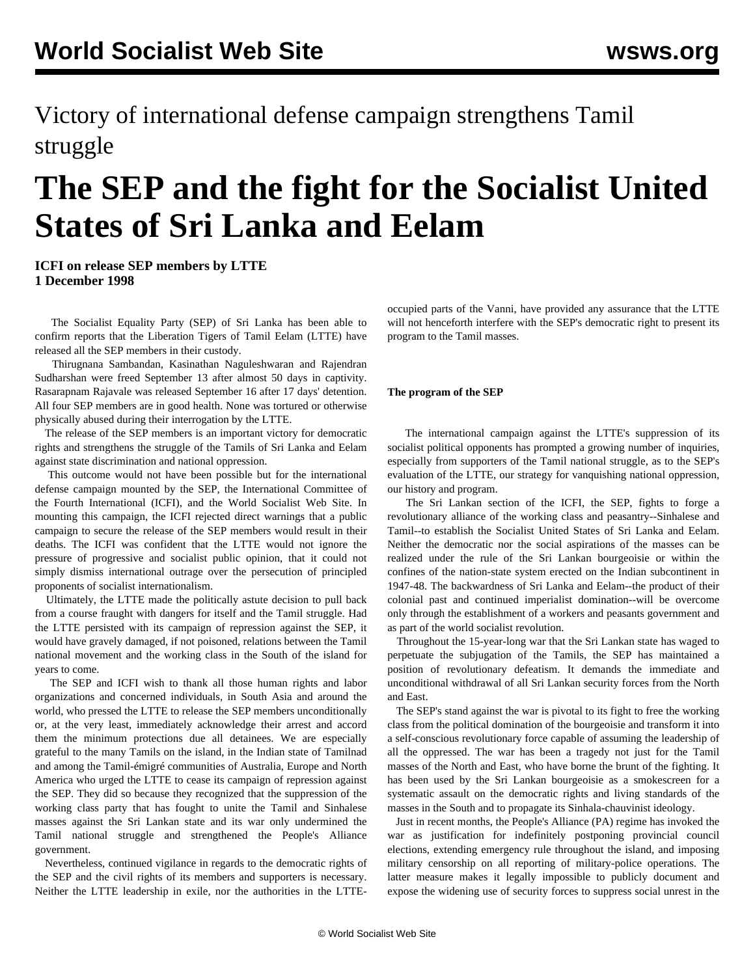Victory of international defense campaign strengthens Tamil struggle

# **The SEP and the fight for the Socialist United States of Sri Lanka and Eelam**

**ICFI on release SEP members by LTTE 1 December 1998**

 The Socialist Equality Party (SEP) of Sri Lanka has been able to confirm reports that the Liberation Tigers of Tamil Eelam (LTTE) have released all the SEP members in their custody.

 Thirugnana Sambandan, Kasinathan Naguleshwaran and Rajendran Sudharshan were freed September 13 after almost 50 days in captivity. Rasarapnam Rajavale was released September 16 after 17 days' detention. All four SEP members are in good health. None was tortured or otherwise physically abused during their interrogation by the LTTE.

 The release of the SEP members is an important victory for democratic rights and strengthens the struggle of the Tamils of Sri Lanka and Eelam against state discrimination and national oppression.

 This outcome would not have been possible but for the international defense campaign mounted by the SEP, the International Committee of the Fourth International (ICFI), and the World Socialist Web Site. In mounting this campaign, the ICFI rejected direct warnings that a public campaign to secure the release of the SEP members would result in their deaths. The ICFI was confident that the LTTE would not ignore the pressure of progressive and socialist public opinion, that it could not simply dismiss international outrage over the persecution of principled proponents of socialist internationalism.

 Ultimately, the LTTE made the politically astute decision to pull back from a course fraught with dangers for itself and the Tamil struggle. Had the LTTE persisted with its campaign of repression against the SEP, it would have gravely damaged, if not poisoned, relations between the Tamil national movement and the working class in the South of the island for years to come.

 The SEP and ICFI wish to thank all those human rights and labor organizations and concerned individuals, in South Asia and around the world, who pressed the LTTE to release the SEP members unconditionally or, at the very least, immediately acknowledge their arrest and accord them the minimum protections due all detainees. We are especially grateful to the many Tamils on the island, in the Indian state of Tamilnad and among the Tamil-émigré communities of Australia, Europe and North America who urged the LTTE to cease its campaign of repression against the SEP. They did so because they recognized that the suppression of the working class party that has fought to unite the Tamil and Sinhalese masses against the Sri Lankan state and its war only undermined the Tamil national struggle and strengthened the People's Alliance government.

 Nevertheless, continued vigilance in regards to the democratic rights of the SEP and the civil rights of its members and supporters is necessary. Neither the LTTE leadership in exile, nor the authorities in the LTTE-

occupied parts of the Vanni, have provided any assurance that the LTTE will not henceforth interfere with the SEP's democratic right to present its program to the Tamil masses.

## **The program of the SEP**

 The international campaign against the LTTE's suppression of its socialist political opponents has prompted a growing number of inquiries, especially from supporters of the Tamil national struggle, as to the SEP's evaluation of the LTTE, our strategy for vanquishing national oppression, our history and program.

 The Sri Lankan section of the ICFI, the SEP, fights to forge a revolutionary alliance of the working class and peasantry--Sinhalese and Tamil--to establish the Socialist United States of Sri Lanka and Eelam. Neither the democratic nor the social aspirations of the masses can be realized under the rule of the Sri Lankan bourgeoisie or within the confines of the nation-state system erected on the Indian subcontinent in 1947-48. The backwardness of Sri Lanka and Eelam--the product of their colonial past and continued imperialist domination--will be overcome only through the establishment of a workers and peasants government and as part of the world socialist revolution.

 Throughout the 15-year-long war that the Sri Lankan state has waged to perpetuate the subjugation of the Tamils, the SEP has maintained a position of revolutionary defeatism. It demands the immediate and unconditional withdrawal of all Sri Lankan security forces from the North and East.

 The SEP's stand against the war is pivotal to its fight to free the working class from the political domination of the bourgeoisie and transform it into a self-conscious revolutionary force capable of assuming the leadership of all the oppressed. The war has been a tragedy not just for the Tamil masses of the North and East, who have borne the brunt of the fighting. It has been used by the Sri Lankan bourgeoisie as a smokescreen for a systematic assault on the democratic rights and living standards of the masses in the South and to propagate its Sinhala-chauvinist ideology.

 Just in recent months, the People's Alliance (PA) regime has invoked the war as justification for indefinitely postponing provincial council elections, extending emergency rule throughout the island, and imposing military censorship on all reporting of military-police operations. The latter measure makes it legally impossible to publicly document and expose the widening use of security forces to suppress social unrest in the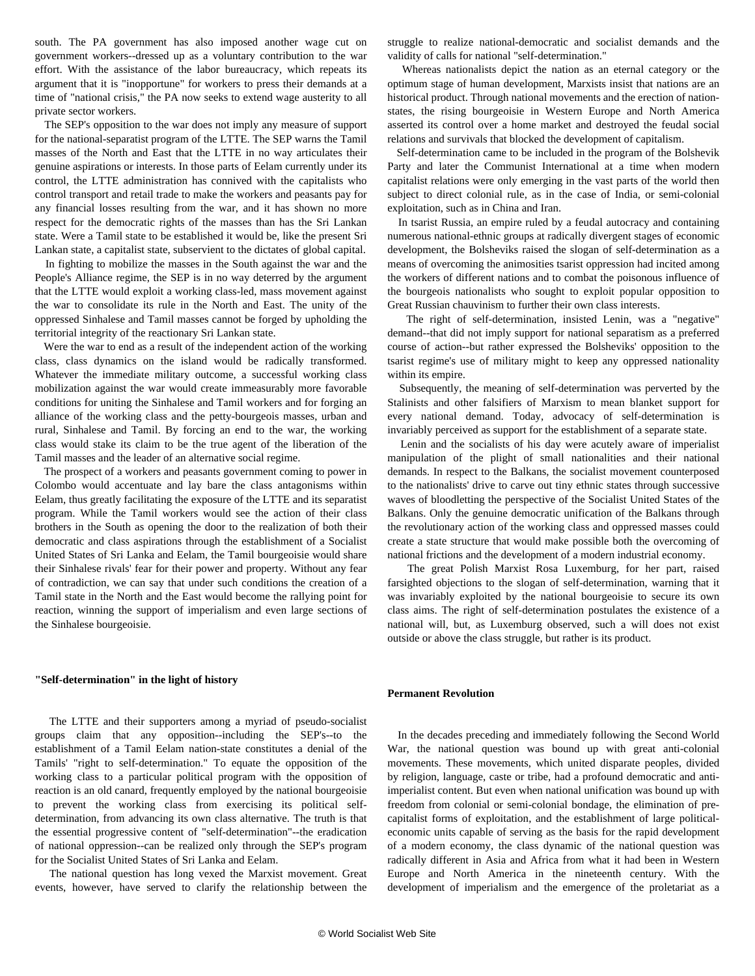south. The PA government has also imposed another wage cut on government workers--dressed up as a voluntary contribution to the war effort. With the assistance of the labor bureaucracy, which repeats its argument that it is "inopportune" for workers to press their demands at a time of "national crisis," the PA now seeks to extend wage austerity to all private sector workers.

 The SEP's opposition to the war does not imply any measure of support for the national-separatist program of the LTTE. The SEP warns the Tamil masses of the North and East that the LTTE in no way articulates their genuine aspirations or interests. In those parts of Eelam currently under its control, the LTTE administration has connived with the capitalists who control transport and retail trade to make the workers and peasants pay for any financial losses resulting from the war, and it has shown no more respect for the democratic rights of the masses than has the Sri Lankan state. Were a Tamil state to be established it would be, like the present Sri Lankan state, a capitalist state, subservient to the dictates of global capital.

 In fighting to mobilize the masses in the South against the war and the People's Alliance regime, the SEP is in no way deterred by the argument that the LTTE would exploit a working class-led, mass movement against the war to consolidate its rule in the North and East. The unity of the oppressed Sinhalese and Tamil masses cannot be forged by upholding the territorial integrity of the reactionary Sri Lankan state.

 Were the war to end as a result of the independent action of the working class, class dynamics on the island would be radically transformed. Whatever the immediate military outcome, a successful working class mobilization against the war would create immeasurably more favorable conditions for uniting the Sinhalese and Tamil workers and for forging an alliance of the working class and the petty-bourgeois masses, urban and rural, Sinhalese and Tamil. By forcing an end to the war, the working class would stake its claim to be the true agent of the liberation of the Tamil masses and the leader of an alternative social regime.

 The prospect of a workers and peasants government coming to power in Colombo would accentuate and lay bare the class antagonisms within Eelam, thus greatly facilitating the exposure of the LTTE and its separatist program. While the Tamil workers would see the action of their class brothers in the South as opening the door to the realization of both their democratic and class aspirations through the establishment of a Socialist United States of Sri Lanka and Eelam, the Tamil bourgeoisie would share their Sinhalese rivals' fear for their power and property. Without any fear of contradiction, we can say that under such conditions the creation of a Tamil state in the North and the East would become the rallying point for reaction, winning the support of imperialism and even large sections of the Sinhalese bourgeoisie.

#### **"Self-determination" in the light of history**

 The LTTE and their supporters among a myriad of pseudo-socialist groups claim that any opposition--including the SEP's--to the establishment of a Tamil Eelam nation-state constitutes a denial of the Tamils' "right to self-determination." To equate the opposition of the working class to a particular political program with the opposition of reaction is an old canard, frequently employed by the national bourgeoisie to prevent the working class from exercising its political selfdetermination, from advancing its own class alternative. The truth is that the essential progressive content of "self-determination"--the eradication of national oppression--can be realized only through the SEP's program for the Socialist United States of Sri Lanka and Eelam.

 The national question has long vexed the Marxist movement. Great events, however, have served to clarify the relationship between the

struggle to realize national-democratic and socialist demands and the validity of calls for national "self-determination."

 Whereas nationalists depict the nation as an eternal category or the optimum stage of human development, Marxists insist that nations are an historical product. Through national movements and the erection of nationstates, the rising bourgeoisie in Western Europe and North America asserted its control over a home market and destroyed the feudal social relations and survivals that blocked the development of capitalism.

 Self-determination came to be included in the program of the Bolshevik Party and later the Communist International at a time when modern capitalist relations were only emerging in the vast parts of the world then subject to direct colonial rule, as in the case of India, or semi-colonial exploitation, such as in China and Iran.

 In tsarist Russia, an empire ruled by a feudal autocracy and containing numerous national-ethnic groups at radically divergent stages of economic development, the Bolsheviks raised the slogan of self-determination as a means of overcoming the animosities tsarist oppression had incited among the workers of different nations and to combat the poisonous influence of the bourgeois nationalists who sought to exploit popular opposition to Great Russian chauvinism to further their own class interests.

 The right of self-determination, insisted Lenin, was a "negative" demand--that did not imply support for national separatism as a preferred course of action--but rather expressed the Bolsheviks' opposition to the tsarist regime's use of military might to keep any oppressed nationality within its empire.

 Subsequently, the meaning of self-determination was perverted by the Stalinists and other falsifiers of Marxism to mean blanket support for every national demand. Today, advocacy of self-determination is invariably perceived as support for the establishment of a separate state.

 Lenin and the socialists of his day were acutely aware of imperialist manipulation of the plight of small nationalities and their national demands. In respect to the Balkans, the socialist movement counterposed to the nationalists' drive to carve out tiny ethnic states through successive waves of bloodletting the perspective of the Socialist United States of the Balkans. Only the genuine democratic unification of the Balkans through the revolutionary action of the working class and oppressed masses could create a state structure that would make possible both the overcoming of national frictions and the development of a modern industrial economy.

 The great Polish Marxist Rosa Luxemburg, for her part, raised farsighted objections to the slogan of self-determination, warning that it was invariably exploited by the national bourgeoisie to secure its own class aims. The right of self-determination postulates the existence of a national will, but, as Luxemburg observed, such a will does not exist outside or above the class struggle, but rather is its product.

#### **Permanent Revolution**

 In the decades preceding and immediately following the Second World War, the national question was bound up with great anti-colonial movements. These movements, which united disparate peoples, divided by religion, language, caste or tribe, had a profound democratic and antiimperialist content. But even when national unification was bound up with freedom from colonial or semi-colonial bondage, the elimination of precapitalist forms of exploitation, and the establishment of large politicaleconomic units capable of serving as the basis for the rapid development of a modern economy, the class dynamic of the national question was radically different in Asia and Africa from what it had been in Western Europe and North America in the nineteenth century. With the development of imperialism and the emergence of the proletariat as a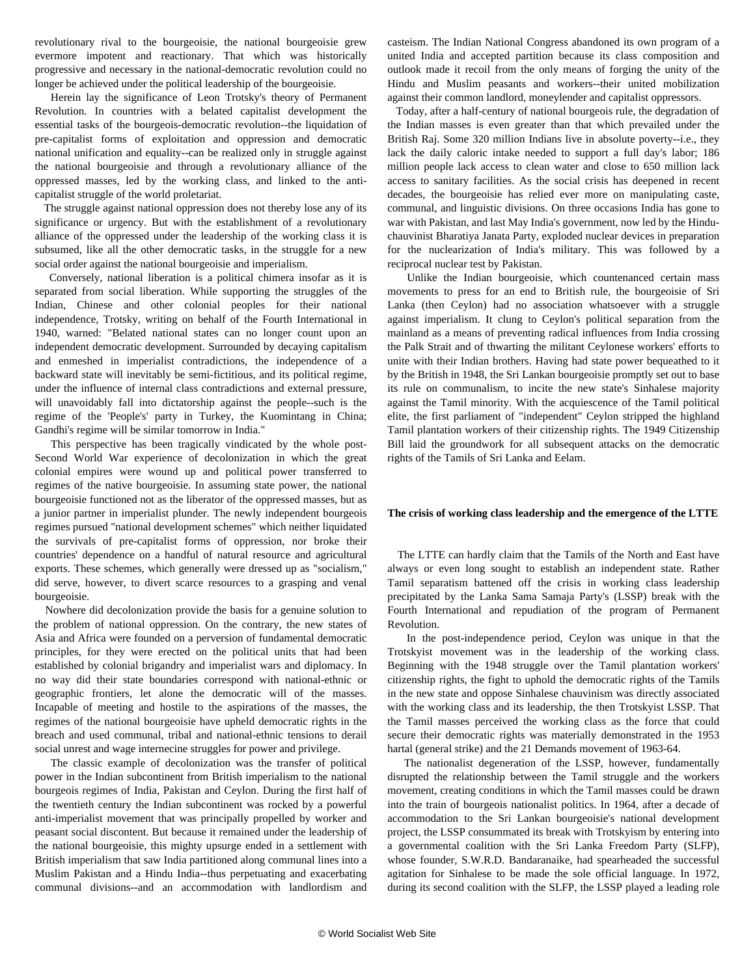revolutionary rival to the bourgeoisie, the national bourgeoisie grew evermore impotent and reactionary. That which was historically progressive and necessary in the national-democratic revolution could no longer be achieved under the political leadership of the bourgeoisie.

 Herein lay the significance of Leon Trotsky's theory of Permanent Revolution. In countries with a belated capitalist development the essential tasks of the bourgeois-democratic revolution--the liquidation of pre-capitalist forms of exploitation and oppression and democratic national unification and equality--can be realized only in struggle against the national bourgeoisie and through a revolutionary alliance of the oppressed masses, led by the working class, and linked to the anticapitalist struggle of the world proletariat.

 The struggle against national oppression does not thereby lose any of its significance or urgency. But with the establishment of a revolutionary alliance of the oppressed under the leadership of the working class it is subsumed, like all the other democratic tasks, in the struggle for a new social order against the national bourgeoisie and imperialism.

 Conversely, national liberation is a political chimera insofar as it is separated from social liberation. While supporting the struggles of the Indian, Chinese and other colonial peoples for their national independence, Trotsky, writing on behalf of the Fourth International in 1940, warned: "Belated national states can no longer count upon an independent democratic development. Surrounded by decaying capitalism and enmeshed in imperialist contradictions, the independence of a backward state will inevitably be semi-fictitious, and its political regime, under the influence of internal class contradictions and external pressure, will unavoidably fall into dictatorship against the people--such is the regime of the 'People's' party in Turkey, the Kuomintang in China; Gandhi's regime will be similar tomorrow in India."

 This perspective has been tragically vindicated by the whole post-Second World War experience of decolonization in which the great colonial empires were wound up and political power transferred to regimes of the native bourgeoisie. In assuming state power, the national bourgeoisie functioned not as the liberator of the oppressed masses, but as a junior partner in imperialist plunder. The newly independent bourgeois regimes pursued "national development schemes" which neither liquidated the survivals of pre-capitalist forms of oppression, nor broke their countries' dependence on a handful of natural resource and agricultural exports. These schemes, which generally were dressed up as "socialism," did serve, however, to divert scarce resources to a grasping and venal bourgeoisie.

 Nowhere did decolonization provide the basis for a genuine solution to the problem of national oppression. On the contrary, the new states of Asia and Africa were founded on a perversion of fundamental democratic principles, for they were erected on the political units that had been established by colonial brigandry and imperialist wars and diplomacy. In no way did their state boundaries correspond with national-ethnic or geographic frontiers, let alone the democratic will of the masses. Incapable of meeting and hostile to the aspirations of the masses, the regimes of the national bourgeoisie have upheld democratic rights in the breach and used communal, tribal and national-ethnic tensions to derail social unrest and wage internecine struggles for power and privilege.

 The classic example of decolonization was the transfer of political power in the Indian subcontinent from British imperialism to the national bourgeois regimes of India, Pakistan and Ceylon. During the first half of the twentieth century the Indian subcontinent was rocked by a powerful anti-imperialist movement that was principally propelled by worker and peasant social discontent. But because it remained under the leadership of the national bourgeoisie, this mighty upsurge ended in a settlement with British imperialism that saw India partitioned along communal lines into a Muslim Pakistan and a Hindu India--thus perpetuating and exacerbating communal divisions--and an accommodation with landlordism and casteism. The Indian National Congress abandoned its own program of a united India and accepted partition because its class composition and outlook made it recoil from the only means of forging the unity of the Hindu and Muslim peasants and workers--their united mobilization against their common landlord, moneylender and capitalist oppressors.

 Today, after a half-century of national bourgeois rule, the degradation of the Indian masses is even greater than that which prevailed under the British Raj. Some 320 million Indians live in absolute poverty--i.e., they lack the daily caloric intake needed to support a full day's labor; 186 million people lack access to clean water and close to 650 million lack access to sanitary facilities. As the social crisis has deepened in recent decades, the bourgeoisie has relied ever more on manipulating caste, communal, and linguistic divisions. On three occasions India has gone to war with Pakistan, and last May India's government, now led by the Hinduchauvinist Bharatiya Janata Party, exploded nuclear devices in preparation for the nuclearization of India's military. This was followed by a reciprocal nuclear test by Pakistan.

 Unlike the Indian bourgeoisie, which countenanced certain mass movements to press for an end to British rule, the bourgeoisie of Sri Lanka (then Ceylon) had no association whatsoever with a struggle against imperialism. It clung to Ceylon's political separation from the mainland as a means of preventing radical influences from India crossing the Palk Strait and of thwarting the militant Ceylonese workers' efforts to unite with their Indian brothers. Having had state power bequeathed to it by the British in 1948, the Sri Lankan bourgeoisie promptly set out to base its rule on communalism, to incite the new state's Sinhalese majority against the Tamil minority. With the acquiescence of the Tamil political elite, the first parliament of "independent" Ceylon stripped the highland Tamil plantation workers of their citizenship rights. The 1949 Citizenship Bill laid the groundwork for all subsequent attacks on the democratic rights of the Tamils of Sri Lanka and Eelam.

# **The crisis of working class leadership and the emergence of the LTTE**

 The LTTE can hardly claim that the Tamils of the North and East have always or even long sought to establish an independent state. Rather Tamil separatism battened off the crisis in working class leadership precipitated by the Lanka Sama Samaja Party's (LSSP) break with the Fourth International and repudiation of the program of Permanent Revolution.

 In the post-independence period, Ceylon was unique in that the Trotskyist movement was in the leadership of the working class. Beginning with the 1948 struggle over the Tamil plantation workers' citizenship rights, the fight to uphold the democratic rights of the Tamils in the new state and oppose Sinhalese chauvinism was directly associated with the working class and its leadership, the then Trotskyist LSSP. That the Tamil masses perceived the working class as the force that could secure their democratic rights was materially demonstrated in the 1953 hartal (general strike) and the 21 Demands movement of 1963-64.

 The nationalist degeneration of the LSSP, however, fundamentally disrupted the relationship between the Tamil struggle and the workers movement, creating conditions in which the Tamil masses could be drawn into the train of bourgeois nationalist politics. In 1964, after a decade of accommodation to the Sri Lankan bourgeoisie's national development project, the LSSP consummated its break with Trotskyism by entering into a governmental coalition with the Sri Lanka Freedom Party (SLFP), whose founder, S.W.R.D. Bandaranaike, had spearheaded the successful agitation for Sinhalese to be made the sole official language. In 1972, during its second coalition with the SLFP, the LSSP played a leading role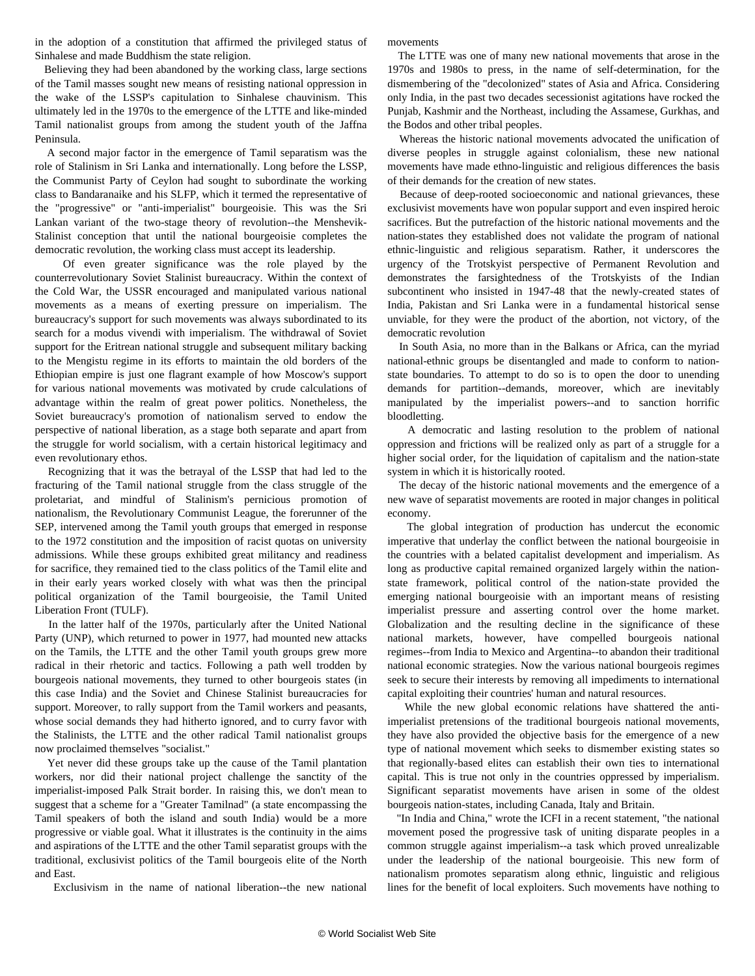in the adoption of a constitution that affirmed the privileged status of Sinhalese and made Buddhism the state religion.

 Believing they had been abandoned by the working class, large sections of the Tamil masses sought new means of resisting national oppression in the wake of the LSSP's capitulation to Sinhalese chauvinism. This ultimately led in the 1970s to the emergence of the LTTE and like-minded Tamil nationalist groups from among the student youth of the Jaffna Peninsula.

 A second major factor in the emergence of Tamil separatism was the role of Stalinism in Sri Lanka and internationally. Long before the LSSP, the Communist Party of Ceylon had sought to subordinate the working class to Bandaranaike and his SLFP, which it termed the representative of the "progressive" or "anti-imperialist" bourgeoisie. This was the Sri Lankan variant of the two-stage theory of revolution--the Menshevik-Stalinist conception that until the national bourgeoisie completes the democratic revolution, the working class must accept its leadership.

 Of even greater significance was the role played by the counterrevolutionary Soviet Stalinist bureaucracy. Within the context of the Cold War, the USSR encouraged and manipulated various national movements as a means of exerting pressure on imperialism. The bureaucracy's support for such movements was always subordinated to its search for a modus vivendi with imperialism. The withdrawal of Soviet support for the Eritrean national struggle and subsequent military backing to the Mengistu regime in its efforts to maintain the old borders of the Ethiopian empire is just one flagrant example of how Moscow's support for various national movements was motivated by crude calculations of advantage within the realm of great power politics. Nonetheless, the Soviet bureaucracy's promotion of nationalism served to endow the perspective of national liberation, as a stage both separate and apart from the struggle for world socialism, with a certain historical legitimacy and even revolutionary ethos.

 Recognizing that it was the betrayal of the LSSP that had led to the fracturing of the Tamil national struggle from the class struggle of the proletariat, and mindful of Stalinism's pernicious promotion of nationalism, the Revolutionary Communist League, the forerunner of the SEP, intervened among the Tamil youth groups that emerged in response to the 1972 constitution and the imposition of racist quotas on university admissions. While these groups exhibited great militancy and readiness for sacrifice, they remained tied to the class politics of the Tamil elite and in their early years worked closely with what was then the principal political organization of the Tamil bourgeoisie, the Tamil United Liberation Front (TULF).

 In the latter half of the 1970s, particularly after the United National Party (UNP), which returned to power in 1977, had mounted new attacks on the Tamils, the LTTE and the other Tamil youth groups grew more radical in their rhetoric and tactics. Following a path well trodden by bourgeois national movements, they turned to other bourgeois states (in this case India) and the Soviet and Chinese Stalinist bureaucracies for support. Moreover, to rally support from the Tamil workers and peasants, whose social demands they had hitherto ignored, and to curry favor with the Stalinists, the LTTE and the other radical Tamil nationalist groups now proclaimed themselves "socialist."

 Yet never did these groups take up the cause of the Tamil plantation workers, nor did their national project challenge the sanctity of the imperialist-imposed Palk Strait border. In raising this, we don't mean to suggest that a scheme for a "Greater Tamilnad" (a state encompassing the Tamil speakers of both the island and south India) would be a more progressive or viable goal. What it illustrates is the continuity in the aims and aspirations of the LTTE and the other Tamil separatist groups with the traditional, exclusivist politics of the Tamil bourgeois elite of the North and East.

Exclusivism in the name of national liberation--the new national

movements

 The LTTE was one of many new national movements that arose in the 1970s and 1980s to press, in the name of self-determination, for the dismembering of the "decolonized" states of Asia and Africa. Considering only India, in the past two decades secessionist agitations have rocked the Punjab, Kashmir and the Northeast, including the Assamese, Gurkhas, and the Bodos and other tribal peoples.

 Whereas the historic national movements advocated the unification of diverse peoples in struggle against colonialism, these new national movements have made ethno-linguistic and religious differences the basis of their demands for the creation of new states.

 Because of deep-rooted socioeconomic and national grievances, these exclusivist movements have won popular support and even inspired heroic sacrifices. But the putrefaction of the historic national movements and the nation-states they established does not validate the program of national ethnic-linguistic and religious separatism. Rather, it underscores the urgency of the Trotskyist perspective of Permanent Revolution and demonstrates the farsightedness of the Trotskyists of the Indian subcontinent who insisted in 1947-48 that the newly-created states of India, Pakistan and Sri Lanka were in a fundamental historical sense unviable, for they were the product of the abortion, not victory, of the democratic revolution

 In South Asia, no more than in the Balkans or Africa, can the myriad national-ethnic groups be disentangled and made to conform to nationstate boundaries. To attempt to do so is to open the door to unending demands for partition--demands, moreover, which are inevitably manipulated by the imperialist powers--and to sanction horrific bloodletting.

 A democratic and lasting resolution to the problem of national oppression and frictions will be realized only as part of a struggle for a higher social order, for the liquidation of capitalism and the nation-state system in which it is historically rooted.

 The decay of the historic national movements and the emergence of a new wave of separatist movements are rooted in major changes in political economy.

 The global integration of production has undercut the economic imperative that underlay the conflict between the national bourgeoisie in the countries with a belated capitalist development and imperialism. As long as productive capital remained organized largely within the nationstate framework, political control of the nation-state provided the emerging national bourgeoisie with an important means of resisting imperialist pressure and asserting control over the home market. Globalization and the resulting decline in the significance of these national markets, however, have compelled bourgeois national regimes--from India to Mexico and Argentina--to abandon their traditional national economic strategies. Now the various national bourgeois regimes seek to secure their interests by removing all impediments to international capital exploiting their countries' human and natural resources.

 While the new global economic relations have shattered the antiimperialist pretensions of the traditional bourgeois national movements, they have also provided the objective basis for the emergence of a new type of national movement which seeks to dismember existing states so that regionally-based elites can establish their own ties to international capital. This is true not only in the countries oppressed by imperialism. Significant separatist movements have arisen in some of the oldest bourgeois nation-states, including Canada, Italy and Britain.

 "In India and China," wrote the ICFI in a recent statement, "the national movement posed the progressive task of uniting disparate peoples in a common struggle against imperialism--a task which proved unrealizable under the leadership of the national bourgeoisie. This new form of nationalism promotes separatism along ethnic, linguistic and religious lines for the benefit of local exploiters. Such movements have nothing to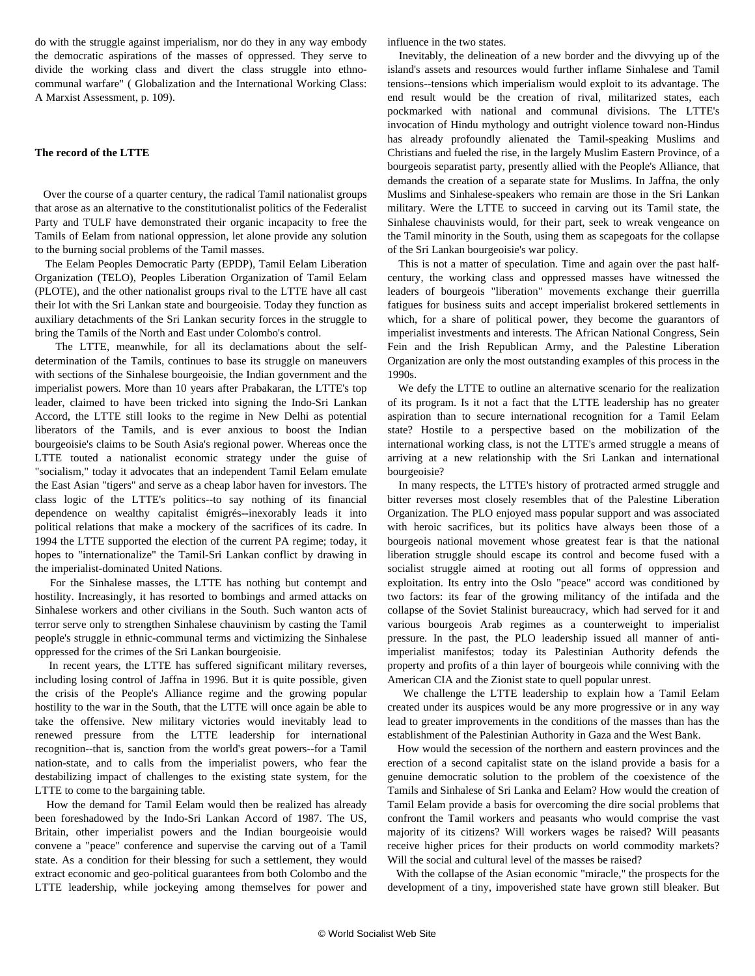do with the struggle against imperialism, nor do they in any way embody the democratic aspirations of the masses of oppressed. They serve to divide the working class and divert the class struggle into ethnocommunal warfare" ( Globalization and the International Working Class: A Marxist Assessment, p. 109).

## **The record of the LTTE**

 Over the course of a quarter century, the radical Tamil nationalist groups that arose as an alternative to the constitutionalist politics of the Federalist Party and TULF have demonstrated their organic incapacity to free the Tamils of Eelam from national oppression, let alone provide any solution to the burning social problems of the Tamil masses.

 The Eelam Peoples Democratic Party (EPDP), Tamil Eelam Liberation Organization (TELO), Peoples Liberation Organization of Tamil Eelam (PLOTE), and the other nationalist groups rival to the LTTE have all cast their lot with the Sri Lankan state and bourgeoisie. Today they function as auxiliary detachments of the Sri Lankan security forces in the struggle to bring the Tamils of the North and East under Colombo's control.

 The LTTE, meanwhile, for all its declamations about the selfdetermination of the Tamils, continues to base its struggle on maneuvers with sections of the Sinhalese bourgeoisie, the Indian government and the imperialist powers. More than 10 years after Prabakaran, the LTTE's top leader, claimed to have been tricked into signing the Indo-Sri Lankan Accord, the LTTE still looks to the regime in New Delhi as potential liberators of the Tamils, and is ever anxious to boost the Indian bourgeoisie's claims to be South Asia's regional power. Whereas once the LTTE touted a nationalist economic strategy under the guise of "socialism," today it advocates that an independent Tamil Eelam emulate the East Asian "tigers" and serve as a cheap labor haven for investors. The class logic of the LTTE's politics--to say nothing of its financial dependence on wealthy capitalist émigrés--inexorably leads it into political relations that make a mockery of the sacrifices of its cadre. In 1994 the LTTE supported the election of the current PA regime; today, it hopes to "internationalize" the Tamil-Sri Lankan conflict by drawing in the imperialist-dominated United Nations.

 For the Sinhalese masses, the LTTE has nothing but contempt and hostility. Increasingly, it has resorted to bombings and armed attacks on Sinhalese workers and other civilians in the South. Such wanton acts of terror serve only to strengthen Sinhalese chauvinism by casting the Tamil people's struggle in ethnic-communal terms and victimizing the Sinhalese oppressed for the crimes of the Sri Lankan bourgeoisie.

 In recent years, the LTTE has suffered significant military reverses, including losing control of Jaffna in 1996. But it is quite possible, given the crisis of the People's Alliance regime and the growing popular hostility to the war in the South, that the LTTE will once again be able to take the offensive. New military victories would inevitably lead to renewed pressure from the LTTE leadership for international recognition--that is, sanction from the world's great powers--for a Tamil nation-state, and to calls from the imperialist powers, who fear the destabilizing impact of challenges to the existing state system, for the LTTE to come to the bargaining table.

 How the demand for Tamil Eelam would then be realized has already been foreshadowed by the Indo-Sri Lankan Accord of 1987. The US, Britain, other imperialist powers and the Indian bourgeoisie would convene a "peace" conference and supervise the carving out of a Tamil state. As a condition for their blessing for such a settlement, they would extract economic and geo-political guarantees from both Colombo and the LTTE leadership, while jockeying among themselves for power and influence in the two states.

 Inevitably, the delineation of a new border and the divvying up of the island's assets and resources would further inflame Sinhalese and Tamil tensions--tensions which imperialism would exploit to its advantage. The end result would be the creation of rival, militarized states, each pockmarked with national and communal divisions. The LTTE's invocation of Hindu mythology and outright violence toward non-Hindus has already profoundly alienated the Tamil-speaking Muslims and Christians and fueled the rise, in the largely Muslim Eastern Province, of a bourgeois separatist party, presently allied with the People's Alliance, that demands the creation of a separate state for Muslims. In Jaffna, the only Muslims and Sinhalese-speakers who remain are those in the Sri Lankan military. Were the LTTE to succeed in carving out its Tamil state, the Sinhalese chauvinists would, for their part, seek to wreak vengeance on the Tamil minority in the South, using them as scapegoats for the collapse of the Sri Lankan bourgeoisie's war policy.

 This is not a matter of speculation. Time and again over the past halfcentury, the working class and oppressed masses have witnessed the leaders of bourgeois "liberation" movements exchange their guerrilla fatigues for business suits and accept imperialist brokered settlements in which, for a share of political power, they become the guarantors of imperialist investments and interests. The African National Congress, Sein Fein and the Irish Republican Army, and the Palestine Liberation Organization are only the most outstanding examples of this process in the 1990s.

 We defy the LTTE to outline an alternative scenario for the realization of its program. Is it not a fact that the LTTE leadership has no greater aspiration than to secure international recognition for a Tamil Eelam state? Hostile to a perspective based on the mobilization of the international working class, is not the LTTE's armed struggle a means of arriving at a new relationship with the Sri Lankan and international bourgeoisie?

 In many respects, the LTTE's history of protracted armed struggle and bitter reverses most closely resembles that of the Palestine Liberation Organization. The PLO enjoyed mass popular support and was associated with heroic sacrifices, but its politics have always been those of a bourgeois national movement whose greatest fear is that the national liberation struggle should escape its control and become fused with a socialist struggle aimed at rooting out all forms of oppression and exploitation. Its entry into the Oslo "peace" accord was conditioned by two factors: its fear of the growing militancy of the intifada and the collapse of the Soviet Stalinist bureaucracy, which had served for it and various bourgeois Arab regimes as a counterweight to imperialist pressure. In the past, the PLO leadership issued all manner of antiimperialist manifestos; today its Palestinian Authority defends the property and profits of a thin layer of bourgeois while conniving with the American CIA and the Zionist state to quell popular unrest.

 We challenge the LTTE leadership to explain how a Tamil Eelam created under its auspices would be any more progressive or in any way lead to greater improvements in the conditions of the masses than has the establishment of the Palestinian Authority in Gaza and the West Bank.

 How would the secession of the northern and eastern provinces and the erection of a second capitalist state on the island provide a basis for a genuine democratic solution to the problem of the coexistence of the Tamils and Sinhalese of Sri Lanka and Eelam? How would the creation of Tamil Eelam provide a basis for overcoming the dire social problems that confront the Tamil workers and peasants who would comprise the vast majority of its citizens? Will workers wages be raised? Will peasants receive higher prices for their products on world commodity markets? Will the social and cultural level of the masses be raised?

 With the collapse of the Asian economic "miracle," the prospects for the development of a tiny, impoverished state have grown still bleaker. But